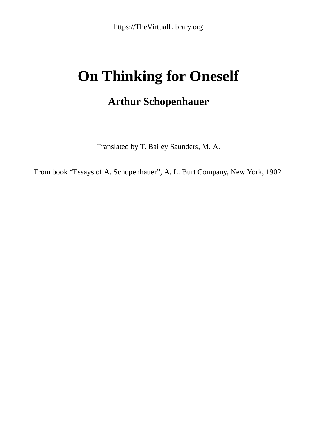## **On Thinking for Oneself**

## **Arthur Schopenhauer**

Translated by T. Bailey Saunders, M. A.

From book "Essays of A. Schopenhauer", A. L. Burt Company, New York, 1902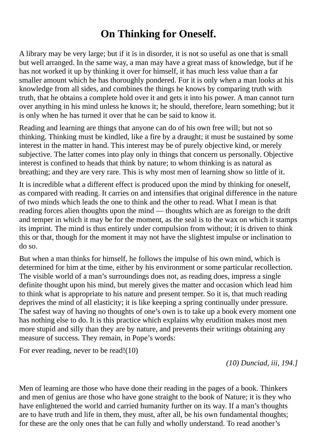## **On Thinking for Oneself.**

A library may be very large; but if it is in disorder, it is not so useful as one that is small but well arranged. In the same way, a man may have a great mass of knowledge, but if he has not worked it up by thinking it over for himself, it has much less value than a far smaller amount which he has thoroughly pondered. For it is only when a man looks at his knowledge from all sides, and combines the things he knows by comparing truth with truth, that he obtains a complete hold over it and gets it into his power. A man cannot turn over anything in his mind unless he knows it; he should, therefore, learn something; but it is only when he has turned it over that he can be said to know it.

Reading and learning are things that anyone can do of his own free will; but not so thinking. Thinking must be kindled, like a fire by a draught; it must be sustained by some interest in the matter in hand. This interest may be of purely objective kind, or merely subjective. The latter comes into play only in things that concern us personally. Objective interest is confined to heads that think by nature; to whom thinking is as natural as breathing; and they are very rare. This is why most men of learning show so little of it.

It is incredible what a different effect is produced upon the mind by thinking for oneself, as compared with reading. It carries on and intensifies that original difference in the nature of two minds which leads the one to think and the other to read. What I mean is that reading forces alien thoughts upon the mind — thoughts which are as foreign to the drift and temper in which it may be for the moment, as the seal is to the wax on which it stamps its imprint. The mind is thus entirely under compulsion from without; it is driven to think this or that, though for the moment it may not have the slightest impulse or inclination to do so.

But when a man thinks for himself, he follows the impulse of his own mind, which is determined for him at the time, either by his environment or some particular recollection. The visible world of a man's surroundings does not, as reading does, impress a single definite thought upon his mind, but merely gives the matter and occasion which lead him to think what is appropriate to his nature and present temper. So it is, that much reading deprives the mind of all elasticity; it is like keeping a spring continually under pressure. The safest way of having no thoughts of one's own is to take up a book every moment one has nothing else to do. It is this practice which explains why erudition makes most men more stupid and silly than they are by nature, and prevents their writings obtaining any measure of success. They remain, in Pope's words:

For ever reading, never to be read!(10)

*(10) Dunciad, iii, 194.]*

Men of learning are those who have done their reading in the pages of a book. Thinkers and men of genius are those who have gone straight to the book of Nature; it is they who have enlightened the world and carried humanity further on its way. If a man's thoughts are to have truth and life in them, they must, after all, be his own fundamental thoughts; for these are the only ones that he can fully and wholly understand. To read another's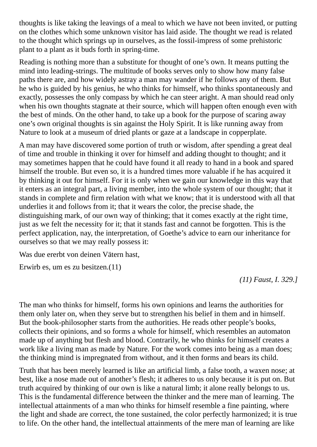thoughts is like taking the leavings of a meal to which we have not been invited, or putting on the clothes which some unknown visitor has laid aside. The thought we read is related to the thought which springs up in ourselves, as the fossil-impress of some prehistoric plant to a plant as it buds forth in spring-time.

Reading is nothing more than a substitute for thought of one's own. It means putting the mind into leading-strings. The multitude of books serves only to show how many false paths there are, and how widely astray a man may wander if he follows any of them. But he who is guided by his genius, he who thinks for himself, who thinks spontaneously and exactly, possesses the only compass by which he can steer aright. A man should read only when his own thoughts stagnate at their source, which will happen often enough even with the best of minds. On the other hand, to take up a book for the purpose of scaring away one's own original thoughts is sin against the Holy Spirit. It is like running away from Nature to look at a museum of dried plants or gaze at a landscape in copperplate.

A man may have discovered some portion of truth or wisdom, after spending a great deal of time and trouble in thinking it over for himself and adding thought to thought; and it may sometimes happen that he could have found it all ready to hand in a book and spared himself the trouble. But even so, it is a hundred times more valuable if he has acquired it by thinking it out for himself. For it is only when we gain our knowledge in this way that it enters as an integral part, a living member, into the whole system of our thought; that it stands in complete and firm relation with what we know; that it is understood with all that underlies it and follows from it; that it wears the color, the precise shade, the distinguishing mark, of our own way of thinking; that it comes exactly at the right time, just as we felt the necessity for it; that it stands fast and cannot be forgotten. This is the perfect application, nay, the interpretation, of Goethe's advice to earn our inheritance for ourselves so that we may really possess it:

Was due ererbt von deinen Vätern hast,

Erwirb es, um es zu besitzen.(11)

*(11) Faust, I. 329.]*

The man who thinks for himself, forms his own opinions and learns the authorities for them only later on, when they serve but to strengthen his belief in them and in himself. But the book-philosopher starts from the authorities. He reads other people's books, collects their opinions, and so forms a whole for himself, which resembles an automaton made up of anything but flesh and blood. Contrarily, he who thinks for himself creates a work like a living man as made by Nature. For the work comes into being as a man does; the thinking mind is impregnated from without, and it then forms and bears its child.

Truth that has been merely learned is like an artificial limb, a false tooth, a waxen nose; at best, like a nose made out of another's flesh; it adheres to us only because it is put on. But truth acquired by thinking of our own is like a natural limb; it alone really belongs to us. This is the fundamental difference between the thinker and the mere man of learning. The intellectual attainments of a man who thinks for himself resemble a fine painting, where the light and shade are correct, the tone sustained, the color perfectly harmonized; it is true to life. On the other hand, the intellectual attainments of the mere man of learning are like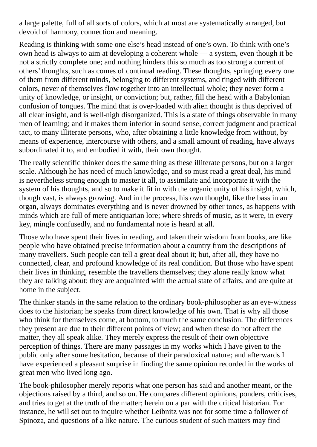a large palette, full of all sorts of colors, which at most are systematically arranged, but devoid of harmony, connection and meaning.

Reading is thinking with some one else's head instead of one's own. To think with one's own head is always to aim at developing a coherent whole — a system, even though it be not a strictly complete one; and nothing hinders this so much as too strong a current of others' thoughts, such as comes of continual reading. These thoughts, springing every one of them from different minds, belonging to different systems, and tinged with different colors, never of themselves flow together into an intellectual whole; they never form a unity of knowledge, or insight, or conviction; but, rather, fill the head with a Babylonian confusion of tongues. The mind that is over-loaded with alien thought is thus deprived of all clear insight, and is well-nigh disorganized. This is a state of things observable in many men of learning; and it makes them inferior in sound sense, correct judgment and practical tact, to many illiterate persons, who, after obtaining a little knowledge from without, by means of experience, intercourse with others, and a small amount of reading, have always subordinated it to, and embodied it with, their own thought.

The really scientific thinker does the same thing as these illiterate persons, but on a larger scale. Although he has need of much knowledge, and so must read a great deal, his mind is nevertheless strong enough to master it all, to assimilate and incorporate it with the system of his thoughts, and so to make it fit in with the organic unity of his insight, which, though vast, is always growing. And in the process, his own thought, like the bass in an organ, always dominates everything and is never drowned by other tones, as happens with minds which are full of mere antiquarian lore; where shreds of music, as it were, in every key, mingle confusedly, and no fundamental note is heard at all.

Those who have spent their lives in reading, and taken their wisdom from books, are like people who have obtained precise information about a country from the descriptions of many travellers. Such people can tell a great deal about it; but, after all, they have no connected, clear, and profound knowledge of its real condition. But those who have spent their lives in thinking, resemble the travellers themselves; they alone really know what they are talking about; they are acquainted with the actual state of affairs, and are quite at home in the subject.

The thinker stands in the same relation to the ordinary book-philosopher as an eye-witness does to the historian; he speaks from direct knowledge of his own. That is why all those who think for themselves come, at bottom, to much the same conclusion. The differences they present are due to their different points of view; and when these do not affect the matter, they all speak alike. They merely express the result of their own objective perception of things. There are many passages in my works which I have given to the public only after some hesitation, because of their paradoxical nature; and afterwards I have experienced a pleasant surprise in finding the same opinion recorded in the works of great men who lived long ago.

The book-philosopher merely reports what one person has said and another meant, or the objections raised by a third, and so on. He compares different opinions, ponders, criticises, and tries to get at the truth of the matter; herein on a par with the critical historian. For instance, he will set out to inquire whether Leibnitz was not for some time a follower of Spinoza, and questions of a like nature. The curious student of such matters may find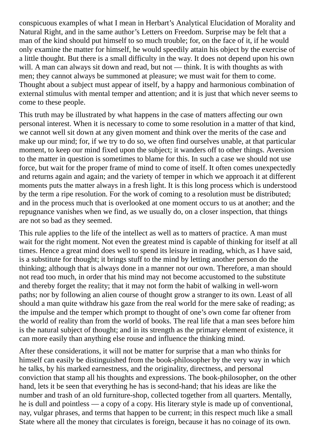conspicuous examples of what I mean in Herbart's Analytical Elucidation of Morality and Natural Right, and in the same author's Letters on Freedom. Surprise may be felt that a man of the kind should put himself to so much trouble; for, on the face of it, if he would only examine the matter for himself, he would speedily attain his object by the exercise of a little thought. But there is a small difficulty in the way. It does not depend upon his own will. A man can always sit down and read, but not — think. It is with thoughts as with men; they cannot always be summoned at pleasure; we must wait for them to come. Thought about a subject must appear of itself, by a happy and harmonious combination of external stimulus with mental temper and attention; and it is just that which never seems to come to these people.

This truth may be illustrated by what happens in the case of matters affecting our own personal interest. When it is necessary to come to some resolution in a matter of that kind, we cannot well sit down at any given moment and think over the merits of the case and make up our mind; for, if we try to do so, we often find ourselves unable, at that particular moment, to keep our mind fixed upon the subject; it wanders off to other things. Aversion to the matter in question is sometimes to blame for this. In such a case we should not use force, but wait for the proper frame of mind to come of itself. It often comes unexpectedly and returns again and again; and the variety of temper in which we approach it at different moments puts the matter always in a fresh light. It is this long process which is understood by the term a ripe resolution. For the work of coming to a resolution must be distributed; and in the process much that is overlooked at one moment occurs to us at another; and the repugnance vanishes when we find, as we usually do, on a closer inspection, that things are not so bad as they seemed.

This rule applies to the life of the intellect as well as to matters of practice. A man must wait for the right moment. Not even the greatest mind is capable of thinking for itself at all times. Hence a great mind does well to spend its leisure in reading, which, as I have said, is a substitute for thought; it brings stuff to the mind by letting another person do the thinking; although that is always done in a manner not our own. Therefore, a man should not read too much, in order that his mind may not become accustomed to the substitute and thereby forget the reality; that it may not form the habit of walking in well-worn paths; nor by following an alien course of thought grow a stranger to its own. Least of all should a man quite withdraw his gaze from the real world for the mere sake of reading; as the impulse and the temper which prompt to thought of one's own come far oftener from the world of reality than from the world of books. The real life that a man sees before him is the natural subject of thought; and in its strength as the primary element of existence, it can more easily than anything else rouse and influence the thinking mind.

After these considerations, it will not be matter for surprise that a man who thinks for himself can easily be distinguished from the book-philosopher by the very way in which he talks, by his marked earnestness, and the originality, directness, and personal conviction that stamp all his thoughts and expressions. The book-philosopher, on the other hand, lets it be seen that everything he has is second-hand; that his ideas are like the number and trash of an old furniture-shop, collected together from all quarters. Mentally, he is dull and pointless — a copy of a copy. His literary style is made up of conventional, nay, vulgar phrases, and terms that happen to be current; in this respect much like a small State where all the money that circulates is foreign, because it has no coinage of its own.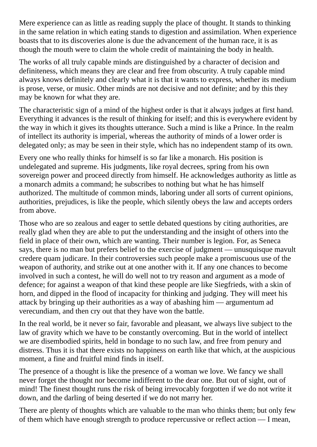Mere experience can as little as reading supply the place of thought. It stands to thinking in the same relation in which eating stands to digestion and assimilation. When experience boasts that to its discoveries alone is due the advancement of the human race, it is as though the mouth were to claim the whole credit of maintaining the body in health.

The works of all truly capable minds are distinguished by a character of decision and definiteness, which means they are clear and free from obscurity. A truly capable mind always knows definitely and clearly what it is that it wants to express, whether its medium is prose, verse, or music. Other minds are not decisive and not definite; and by this they may be known for what they are.

The characteristic sign of a mind of the highest order is that it always judges at first hand. Everything it advances is the result of thinking for itself; and this is everywhere evident by the way in which it gives its thoughts utterance. Such a mind is like a Prince. In the realm of intellect its authority is imperial, whereas the authority of minds of a lower order is delegated only; as may be seen in their style, which has no independent stamp of its own.

Every one who really thinks for himself is so far like a monarch. His position is undelegated and supreme. His judgments, like royal decrees, spring from his own sovereign power and proceed directly from himself. He acknowledges authority as little as a monarch admits a command; he subscribes to nothing but what he has himself authorized. The multitude of common minds, laboring under all sorts of current opinions, authorities, prejudices, is like the people, which silently obeys the law and accepts orders from above.

Those who are so zealous and eager to settle debated questions by citing authorities, are really glad when they are able to put the understanding and the insight of others into the field in place of their own, which are wanting. Their number is legion. For, as Seneca says, there is no man but prefers belief to the exercise of judgment — unusquisque mavult credere quam judicare. In their controversies such people make a promiscuous use of the weapon of authority, and strike out at one another with it. If any one chances to become involved in such a contest, he will do well not to try reason and argument as a mode of defence; for against a weapon of that kind these people are like Siegfrieds, with a skin of horn, and dipped in the flood of incapacity for thinking and judging. They will meet his attack by bringing up their authorities as a way of abashing him — argumentum ad verecundiam, and then cry out that they have won the battle.

In the real world, be it never so fair, favorable and pleasant, we always live subject to the law of gravity which we have to be constantly overcoming. But in the world of intellect we are disembodied spirits, held in bondage to no such law, and free from penury and distress. Thus it is that there exists no happiness on earth like that which, at the auspicious moment, a fine and fruitful mind finds in itself.

The presence of a thought is like the presence of a woman we love. We fancy we shall never forget the thought nor become indifferent to the dear one. But out of sight, out of mind! The finest thought runs the risk of being irrevocably forgotten if we do not write it down, and the darling of being deserted if we do not marry her.

There are plenty of thoughts which are valuable to the man who thinks them; but only few of them which have enough strength to produce repercussive or reflect action — I mean,